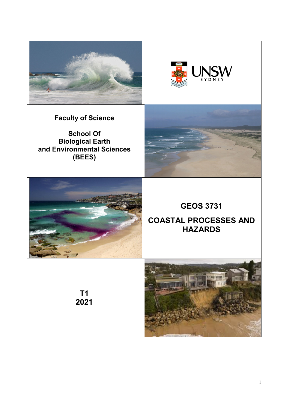



**Faculty of Science**

**School Of Biological Earth and Environmental Sciences (BEES)**





**GEOS 3731**

# **COASTAL PROCESSES AND HAZARDS**

**T1 2021**

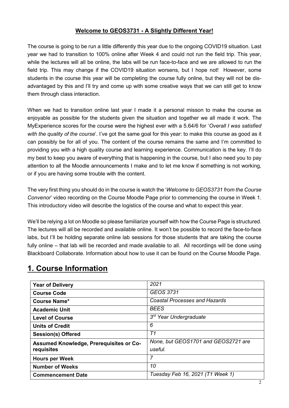## **Welcome to GEOS3731 - A Slightly Different Year!**

The course is going to be run a little differently this year due to the ongoing COVID19 situation. Last year we had to transition to 100% online after Week 4 and could not run the field trip. This year, while the lectures will all be online, the labs will be run face-to-face and we are allowed to run the field trip. This may change if the COVID19 situation worsens, but I hope not! However, some students in the course this year will be completing the course fully online, but they will not be disadvantaged by this and I'll try and come up with some creative ways that we can still get to know them through class interaction.

When we had to transition online last year I made it a personal misson to make the course as enjoyable as possible for the students given the situation and together we all made it work. The MyExperience scores for the course were the highest ever with a 5.64/6 for '*Overall I was satisfied with the quality of the course*'. I've got the same goal for this year: to make this course as good as it can possibly be for all of you. The content of the course remains the same and I'm committed to providing you with a high quality course and learning experience. Communication is the key. I'll do my best to keep you aware of everything that is happening in the course, but I also need you to pay attention to all the Moodle announcements I make and to let me know if something is not working, or if you are having some trouble with the content.

The very first thing you should do in the course is watch the '*Welcome to GEOS3731 from the Course Convenor*' video recording on the Course Moodle Page prior to commencing the course in Week 1. This introductory video will describe the logistics of the course and what to expect this year.

We'll be relying a lot on Moodle so please familiarize yourself with how the Course Page is structured. The lectures will all be recorded and available online. It won't be possible to record the face-to-face labs, but I'll be holding separate online lab sessions for those students that are taking the course fully online – that lab will be recorded and made available to all. All recordings will be done using Blackboard Collaborate. Information about how to use it can be found on the Course Moodle Page.

| <b>Year of Delivery</b>                 | 2021                                 |
|-----------------------------------------|--------------------------------------|
| <b>Course Code</b>                      | <b>GEOS 3731</b>                     |
| <b>Course Name*</b>                     | <b>Coastal Processes and Hazards</b> |
| <b>Academic Unit</b>                    | <b>BEES</b>                          |
| <b>Level of Course</b>                  | 3 <sup>rd</sup> Year Undergraduate   |
| <b>Units of Credit</b>                  | 6                                    |
| <b>Session(s) Offered</b>               | T1                                   |
| Assumed Knowledge, Prerequisites or Co- | None, but GEOS1701 and GEOS2721 are  |
| requisites                              | useful.                              |
| <b>Hours per Week</b>                   | 7                                    |
| <b>Number of Weeks</b>                  | 10                                   |
| <b>Commencement Date</b>                | Tuesday Feb 16, 2021 (T1 Week 1)     |

# **1. Course Information**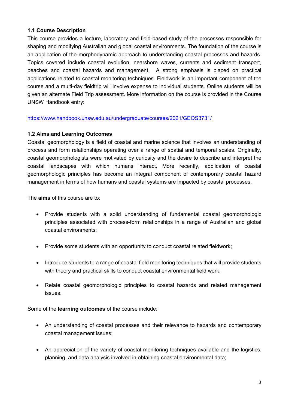#### **1.1 Course Description**

This course provides a lecture, laboratory and field-based study of the processes responsible for shaping and modifying Australian and global coastal environments. The foundation of the course is an application of the morphodynamic approach to understanding coastal processes and hazards. Topics covered include coastal evolution, nearshore waves, currents and sediment transport, beaches and coastal hazards and management. A strong emphasis is placed on practical applications related to coastal monitoring techniques. Fieldwork is an important component of the course and a multi-day fieldtrip will involve expense to individual students. Online students will be given an alternate Field Trip assessment. More information on the course is provided in the Course UNSW Handbook entry:

<https://www.handbook.unsw.edu.au/undergraduate/courses/2021/GEOS3731/>

#### **1.2 Aims and Learning Outcomes**

Coastal geomorphology is a field of coastal and marine science that involves an understanding of process and form relationships operating over a range of spatial and temporal scales. Originally, coastal geomorphologists were motivated by curiosity and the desire to describe and interpret the coastal landscapes with which humans interact. More recently, application of coastal geomorphologic principles has become an integral component of contemporary coastal hazard management in terms of how humans and coastal systems are impacted by coastal processes.

The **aims** of this course are to:

- Provide students with a solid understanding of fundamental coastal geomorphologic principles associated with process-form relationships in a range of Australian and global coastal environments;
- Provide some students with an opportunity to conduct coastal related fieldwork;
- Introduce students to a range of coastal field monitoring techniques that will provide students with theory and practical skills to conduct coastal environmental field work;
- Relate coastal geomorphologic principles to coastal hazards and related management issues.

Some of the **learning outcomes** of the course include:

- An understanding of coastal processes and their relevance to hazards and contemporary coastal management issues;
- An appreciation of the variety of coastal monitoring techniques available and the logistics, planning, and data analysis involved in obtaining coastal environmental data;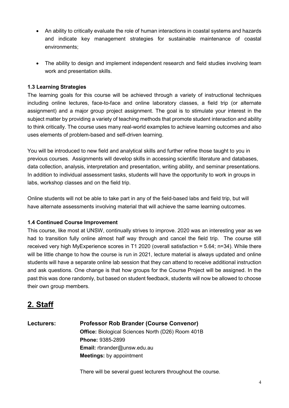- An ability to critically evaluate the role of human interactions in coastal systems and hazards and indicate key management strategies for sustainable maintenance of coastal environments;
- The ability to design and implement independent research and field studies involving team work and presentation skills.

## **1.3 Learning Strategies**

The learning goals for this course will be achieved through a variety of instructional techniques including online lectures, face-to-face and online laboratory classes, a field trip (or alternate assignment) and a major group project assignment. The goal is to stimulate your interest in the subject matter by providing a variety of teaching methods that promote student interaction and ability to think critically. The course uses many real-world examples to achieve learning outcomes and also uses elements of problem-based and self-driven learning.

You will be introduced to new field and analytical skills and further refine those taught to you in previous courses. Assignments will develop skills in accessing scientific literature and databases, data collection, analysis, interpretation and presentation, writing ability, and seminar presentations. In addition to individual assessment tasks, students will have the opportunity to work in groups in labs, workshop classes and on the field trip.

Online students will not be able to take part in any of the field-based labs and field trip, but will have alternate assessments involving material that will achieve the same learning outcomes.

### **1.4 Continued Course Improvement**

This course, like most at UNSW, continually strives to improve. 2020 was an interesting year as we had to transition fully online almost half way through and cancel the field trip. The course still received very high MyExperience scores in T1 2020 (overall satisfaction = 5.64; n=34). While there will be little change to how the course is run in 2021, lecture material is always updated and online students will have a separate online lab session that they can attend to receive additional instruction and ask questions. One change is that how groups for the Course Project will be assigned. In the past this was done randomly, but based on student feedback, students will now be allowed to choose their own group members.

# **2. Staff**

**Lecturers: Professor Rob Brander (Course Convenor) Office:** Biological Sciences North (D26) Room 401B **Phone:** 9385-2899 **Email:** rbrander@unsw.edu.au **Meetings:** by appointment

There will be several guest lecturers throughout the course.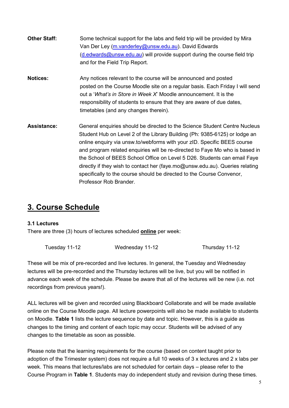- **Other Staff:** Some technical support for the labs and field trip will be provided by Mira Van Der Ley [\(m.vanderley@unsw.edu.au\)](mailto:m.vanderley@unsw.edu.au). David Edwards [\(d.edwards@unsw.edu.au\)](mailto:d.edwards@unsw.edu.au) will provide support during the course field trip and for the Field Trip Report.
- **Notices:** Any notices relevant to the course will be announced and posted posted on the Course Moodle site on a regular basis. Each Friday I will send out a '*What's in Store in Week X*' Moodle announcement. It is the responsibility of students to ensure that they are aware of due dates, timetables (and any changes therein).
- Assistance: General enquiries should be directed to the Science Student Centre Nucleus Student Hub on Level 2 of the Library Building (Ph: 9385-6125) or lodge an online enquiry via unsw.to/webforms with your zID. Specific BEES course and program related enquiries will be re-directed to Faye Mo who is based in the School of BEES School Office on Level 5 D26. Students can email Faye directly if they wish to contact her (faye.mo@unsw.edu.au). Queries relating specifically to the course should be directed to the Course Convenor, Professor Rob Brander.

# **3. Course Schedule**

#### **3.1 Lectures**

There are three (3) hours of lectures scheduled **online** per week:

| Tuesday 11-12 | Wednesday 11-12 | Thursday 11-12 |
|---------------|-----------------|----------------|
|               |                 |                |

These will be mix of pre-recorded and live lectures. In general, the Tuesday and Wednesday lectures will be pre-recorded and the Thursday lectures will be live, but you will be notified in advance each week of the schedule. Please be aware that all of the lectures will be new (i.e. not recordings from previous years!).

ALL lectures will be given and recorded using Blackboard Collaborate and will be made available online on the Course Moodle page. All lecture powerpoints will also be made available to students on Moodle. **Table 1** lists the lecture sequence by date and topic. However, this is a guide as changes to the timing and content of each topic may occur. Students will be advised of any changes to the timetable as soon as possible.

Please note that the learning requirements for the course (based on content taught prior to adoption of the Trimester system) does not require a full 10 weeks of 3 x lectures and 2 x labs per week. This means that lectures/labs are not scheduled for certain days – please refer to the Course Program in **Table 1**. Students may do independent study and revision during these times.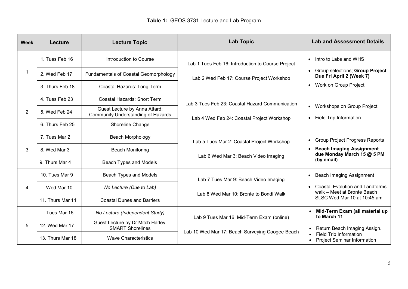| <b>Week</b> | Lecture          | <b>Lecture Topic</b>                                                       | <b>Lab Topic</b>                                                                               | <b>Lab and Assessment Details</b>                                                                   |  |
|-------------|------------------|----------------------------------------------------------------------------|------------------------------------------------------------------------------------------------|-----------------------------------------------------------------------------------------------------|--|
|             | 1. Tues Feb 16   | Introduction to Course                                                     | Lab 1 Tues Feb 16: Introduction to Course Project<br>Lab 2 Wed Feb 17: Course Project Workshop | • Intro to Labs and WHS<br>Group selections; Group Project<br>$\bullet$<br>Due Fri April 2 (Week 7) |  |
|             | 2. Wed Feb 17    | <b>Fundamentals of Coastal Geomorphology</b>                               |                                                                                                |                                                                                                     |  |
|             | 3. Thurs Feb 18  | Coastal Hazards: Long Term                                                 |                                                                                                | Work on Group Project<br>$\bullet$                                                                  |  |
|             | 4. Tues Feb 23   | Coastal Hazards: Short Term                                                | Lab 3 Tues Feb 23: Coastal Hazard Communication                                                |                                                                                                     |  |
| 2           | 5. Wed Feb 24    | Guest Lecture by Anna Attard:<br><b>Community Understanding of Hazards</b> |                                                                                                | • Workshops on Group Project<br><b>Field Trip Information</b><br>$\bullet$                          |  |
|             | 6. Thurs Feb 25  | Shoreline Change                                                           | Lab 4 Wed Feb 24: Coastal Project Workshop                                                     |                                                                                                     |  |
| 3           | 7. Tues Mar 2    | Beach Morphology                                                           | Lab 5 Tues Mar 2: Coastal Project Workshop                                                     | <b>Group Project Progress Reports</b><br>$\bullet$                                                  |  |
|             | 8. Wed Mar 3     | <b>Beach Monitoring</b>                                                    |                                                                                                | <b>Beach Imaging Assignment</b><br>due Monday March 15 @ 5 PM                                       |  |
|             | 9. Thurs Mar 4   | Beach Types and Models                                                     | Lab 6 Wed Mar 3: Beach Video Imaging                                                           | (by email)                                                                                          |  |
| 4           | 10. Tues Mar 9   | Beach Types and Models                                                     | Lab 7 Tues Mar 9: Beach Video Imaging<br>Lab 8 Wed Mar 10: Bronte to Bondi Walk                | <b>Beach Imaging Assignment</b><br>$\bullet$                                                        |  |
|             | Wed Mar 10       | No Lecture (Due to Lab)                                                    |                                                                                                | <b>Coastal Evolution and Landforms</b><br>walk - Meet at Bronte Beach                               |  |
|             | 11. Thurs Mar 11 | <b>Coastal Dunes and Barriers</b>                                          |                                                                                                | SLSC Wed Mar 10 at 10:45 am                                                                         |  |
|             | Tues Mar 16      | No Lecture (Independent Study)                                             | Lab 9 Tues Mar 16: Mid-Term Exam (online)                                                      | • Mid-Term Exam (all material up<br>to March 11                                                     |  |
| 5           | 12. Wed Mar 17   | Guest Lecture by Dr Mitch Harley:<br><b>SMART Shorelines</b>               |                                                                                                | Return Beach Imaging Assign.<br>$\bullet$                                                           |  |
|             | 13. Thurs Mar 18 | <b>Wave Characteristics</b>                                                | Lab 10 Wed Mar 17: Beach Surveying Coogee Beach                                                | Field Trip Information<br><b>Project Seminar Information</b>                                        |  |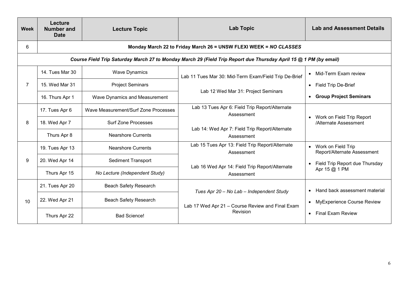| <b>Week</b> | Lecture<br><b>Number and</b><br><b>Date</b>                                                                       | <b>Lecture Topic</b>                 | <b>Lab Topic</b>                                              | <b>Lab and Assessment Details</b>                               |  |  |
|-------------|-------------------------------------------------------------------------------------------------------------------|--------------------------------------|---------------------------------------------------------------|-----------------------------------------------------------------|--|--|
| 6           | Monday March 22 to Friday March 26 = UNSW FLEXI WEEK = NO CLASSES                                                 |                                      |                                                               |                                                                 |  |  |
|             | Course Field Trip Saturday March 27 to Monday March 29 (Field Trip Report due Thursday April 15 @ 1 PM (by email) |                                      |                                                               |                                                                 |  |  |
| 7           | 14. Tues Mar 30                                                                                                   | <b>Wave Dynamics</b>                 | Lab 11 Tues Mar 30: Mid-Term Exam/Field Trip De-Brief         | Mid-Term Exam review<br>$\bullet$                               |  |  |
|             | 15. Wed Mar 31                                                                                                    | <b>Project Seminars</b>              | Lab 12 Wed Mar 31: Project Seminars                           | Field Trip De-Brief<br>$\bullet$                                |  |  |
|             | 16. Thurs Apr 1                                                                                                   | Wave Dynamics and Measurement        |                                                               | <b>Group Project Seminars</b>                                   |  |  |
|             | 17. Tues Apr 6                                                                                                    | Wave Measurement/Surf Zone Processes | Lab 13 Tues Apr 6: Field Trip Report/Alternate<br>Assessment  |                                                                 |  |  |
| 8           | 18. Wed Apr 7                                                                                                     | <b>Surf Zone Processes</b>           |                                                               | Work on Field Trip Report<br>$\bullet$<br>/Alternate Assessment |  |  |
|             | Thurs Apr 8                                                                                                       | <b>Nearshore Currents</b>            | Lab 14: Wed Apr 7: Field Trip Report/Alternate<br>Assessment  |                                                                 |  |  |
|             | 19. Tues Apr 13                                                                                                   | <b>Nearshore Currents</b>            | Lab 15 Tues Apr 13: Field Trip Report/Alternate<br>Assessment | Work on Field Trip<br>Report/Alternate Assessment               |  |  |
| 9           | 20. Wed Apr 14                                                                                                    | <b>Sediment Transport</b>            |                                                               | Field Trip Report due Thursday<br>$\bullet$                     |  |  |
|             | Thurs Apr 15                                                                                                      | No Lecture (Independent Study)       | Lab 16 Wed Apr 14: Field Trip Report/Alternate<br>Assessment  | Apr 15 @ 1 PM                                                   |  |  |
|             | 21. Tues Apr 20                                                                                                   | <b>Beach Safety Research</b>         | Tues Apr 20 - No Lab - Independent Study                      | Hand back assessment material<br>$\bullet$                      |  |  |
| 10          | 22. Wed Apr 21                                                                                                    | <b>Beach Safety Research</b>         | Lab 17 Wed Apr 21 - Course Review and Final Exam              | <b>MyExperience Course Review</b><br>$\bullet$                  |  |  |
|             | Thurs Apr 22                                                                                                      | <b>Bad Science!</b>                  | Revision                                                      | <b>Final Exam Review</b><br>$\bullet$                           |  |  |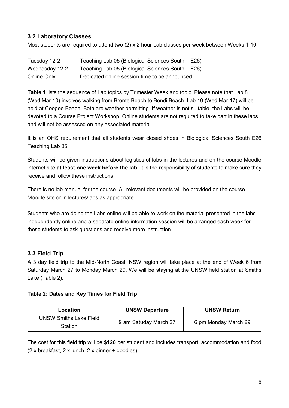## **3.2 Laboratory Classes**

Most students are required to attend two (2) x 2 hour Lab classes per week between Weeks 1-10:

| Tuesday 12-2   | Teaching Lab 05 (Biological Sciences South – E26) |
|----------------|---------------------------------------------------|
| Wednesday 12-2 | Teaching Lab 05 (Biological Sciences South – E26) |
| Online Only    | Dedicated online session time to be announced.    |

**Table 1** lists the sequence of Lab topics by Trimester Week and topic. Please note that Lab 8 (Wed Mar 10) involves walking from Bronte Beach to Bondi Beach. Lab 10 (Wed Mar 17) will be held at Coogee Beach. Both are weather permitting. If weather is not suitable, the Labs will be devoted to a Course Project Workshop. Online students are not required to take part in these labs and will not be assessed on any associated material.

It is an OHS requirement that all students wear closed shoes in Biological Sciences South E26 Teaching Lab 05.

Students will be given instructions about logistics of labs in the lectures and on the course Moodle internet site **at least one week before the lab**. It is the responsibility of students to make sure they receive and follow these instructions.

There is no lab manual for the course. All relevant documents will be provided on the course Moodle site or in lectures/labs as appropriate.

Students who are doing the Labs online will be able to work on the material presented in the labs independently online and a separate online information session will be arranged each week for these students to ask questions and receive more instruction.

### **3.3 Field Trip**

A 3 day field trip to the Mid-North Coast, NSW region will take place at the end of Week 6 from Saturday March 27 to Monday March 29. We will be staying at the UNSW field station at Smiths Lake (Table 2).

#### **Table 2: Dates and Key Times for Field Trip**

| Location                      | <b>UNSW Departure</b> | <b>UNSW Return</b>   |
|-------------------------------|-----------------------|----------------------|
| <b>UNSW Smiths Lake Field</b> | 9 am Satuday March 27 |                      |
| Station                       |                       | 6 pm Monday March 29 |

The cost for this field trip will be **\$120** per student and includes transport, accommodation and food (2 x breakfast, 2 x lunch, 2 x dinner + goodies).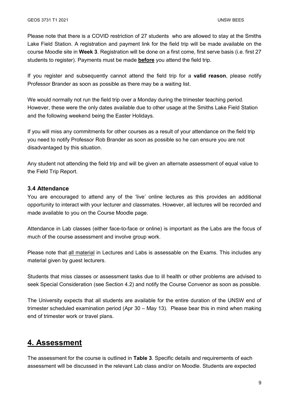Please note that there is a COVID restriction of 27 students who are allowed to stay at the Smiths Lake Field Station. A registration and payment link for the field trip will be made available on the course Moodle site in **Week 3**. Registration will be done on a first come, first serve basis (i.e. first 27 students to register). Payments must be made **before** you attend the field trip.

If you register and subsequently cannot attend the field trip for a **valid reason**, please notify Professor Brander as soon as possible as there may be a waiting list.

We would normally not run the field trip over a Monday during the trimester teaching period. However, these were the only dates available due to other usage at the Smiths Lake Field Station and the following weekend being the Easter Holidays.

If you will miss any commitments for other courses as a result of your attendance on the field trip you need to notify Professor Rob Brander as soon as possible so he can ensure you are not disadvantaged by this situation.

Any student not attending the field trip and will be given an alternate assessment of equal value to the Field Trip Report.

#### **3.4 Attendance**

You are encouraged to attend any of the 'live' online lectures as this provides an additional opportunity to interact with your lecturer and classmates. However, all lectures will be recorded and made available to you on the Course Moodle page.

Attendance in Lab classes (either face-to-face or online) is important as the Labs are the focus of much of the course assessment and involve group work.

Please note that all material in Lectures and Labs is assessable on the Exams. This includes any material given by guest lecturers.

Students that miss classes or assessment tasks due to ill health or other problems are advised to seek Special Consideration (see Section 4.2) and notify the Course Convenor as soon as possible.

The University expects that all students are available for the entire duration of the UNSW end of trimester scheduled examination period (Apr 30 – May 13). Please bear this in mind when making end of trimester work or travel plans.

# **4. Assessment**

The assessment for the course is outlined in **Table 3**. Specific details and requirements of each assessment will be discussed in the relevant Lab class and/or on Moodle. Students are expected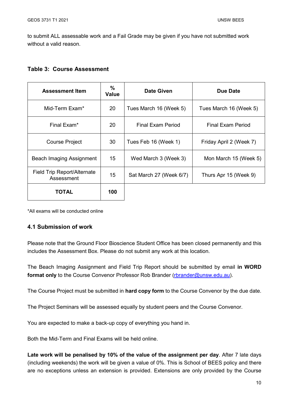to submit ALL assessable work and a Fail Grade may be given if you have not submitted work without a valid reason.

#### **Table 3: Course Assessment**

| <b>Assessment Item</b>                    | %<br><b>Value</b> | Date Given              | Due Date                |
|-------------------------------------------|-------------------|-------------------------|-------------------------|
| Mid-Term Exam*                            | 20                | Tues March 16 (Week 5)  | Tues March 16 (Week 5)  |
| Final Exam <sup>*</sup>                   | 20                | Final Exam Period       | Final Exam Period       |
| <b>Course Project</b>                     | 30                | Tues Feb 16 (Week 1)    | Friday April 2 (Week 7) |
| Beach Imaging Assignment                  | 15                | Wed March 3 (Week 3)    | Mon March 15 (Week 5)   |
| Field Trip Report/Alternate<br>Assessment | 15                | Sat March 27 (Week 6/7) | Thurs Apr 15 (Week 9)   |
| TOTAL                                     | 100               |                         |                         |

\*All exams will be conducted online

#### **4.1 Submission of work**

Please note that the Ground Floor Bioscience Student Office has been closed permanently and this includes the Assessment Box. Please do not submit any work at this location.

The Beach Imaging Assignment and Field Trip Report should be submitted by email **in WORD format only** to the Course Convenor Professor Rob Brander [\(rbrander@unsw.edu.au\)](mailto:rbrander@unsw.edu.au).

The Course Project must be submitted in **hard copy form** to the Course Convenor by the due date.

The Project Seminars will be assessed equally by student peers and the Course Convenor.

You are expected to make a back-up copy of everything you hand in.

Both the Mid-Term and Final Exams will be held online.

**Late work will be penalised by 10% of the value of the assignment per day**. After 7 late days (including weekends) the work will be given a value of 0%. This is School of BEES policy and there are no exceptions unless an extension is provided. Extensions are only provided by the Course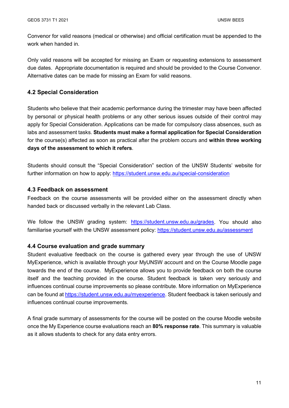Convenor for valid reasons (medical or otherwise) and official certification must be appended to the work when handed in.

Only valid reasons will be accepted for missing an Exam or requesting extensions to assessment due dates. Appropriate documentation is required and should be provided to the Course Convenor. Alternative dates can be made for missing an Exam for valid reasons.

#### **4.2 Special Consideration**

Students who believe that their academic performance during the trimester may have been affected by personal or physical health problems or any other serious issues outside of their control may apply for Special Consideration. Applications can be made for compulsory class absences, such as labs and assessment tasks. **Students must make a formal application for Special Consideration** for the course(s) affected as soon as practical after the problem occurs and **within three working days of the assessment to which it refers**.

Students should consult the "Special Consideration" section of the UNSW Students' website for further information on how to apply: https://student.unsw.edu.au/special-consideration

#### **4.3 Feedback on assessment**

Feedback on the course assessments will be provided either on the assessment directly when handed back or discussed verbally in the relevant Lab Class.

We follow the UNSW grading system: [https://student.unsw.edu.au/grades.](https://student.unsw.edu.au/grades) You should also familiarise yourself with the UNSW assessment policy:<https://student.unsw.edu.au/assessment>

#### **4.4 Course evaluation and grade summary**

Student evaluative feedback on the course is gathered every year through the use of UNSW MyExperience, which is available through your MyUNSW account and on the Course Moodle page towards the end of the course. MyExperience allows you to provide feedback on both the course itself and the teaching provided in the course. Student feedback is taken very seriously and influences continual course improvements so please contribute. More information on MyExperience can be found at [https://student.unsw.edu.au/myexperience.](https://student.unsw.edu.au/myexperience) Student feedback is taken seriously and influences continual course improvements.

A final grade summary of assessments for the course will be posted on the course Moodle website once the My Experience course evaluations reach an **80% response rate**. This summary is valuable as it allows students to check for any data entry errors.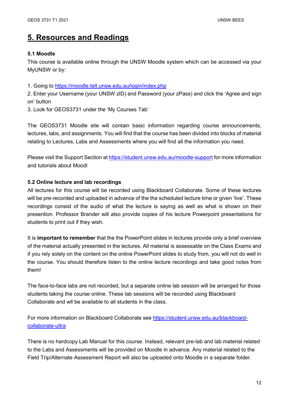## **5. Resources and Readings**

#### **5.1 Moodle**

This course is available online through the UNSW Moodle system which can be accessed via your MyUNSW or by:

1. Going to<https://moodle.telt.unsw.edu.au/login/index.php>

2. Enter your Username (your UNSW zID) and Password (your zPass) and click the 'Agree and sign on' button

3. Look for GEOS3731 under the 'My Courses Tab'

The GEOS3731 Moodle site will contain basic information regarding course announcements, lectures, labs, and assignments. You will find that the course has been divided into blocks of material relating to Lectures, Labs and Assessments where you will find all the information you need.

Please visit the Support Section at<https://student.unsw.edu.au/moodle-support> for more information and tutorials about Moodl

#### **5.2 Online lecture and lab recordings**

All lectures for this course will be recorded using Blackboard Collaborate. Some of these lectures will be pre-recorded and uploaded in advance of the the scheduled lecture time or given 'live'. These recordings consist of the audio of what the lecture is saying as well as what is shown on their presention. Professor Brander will also provide copies of his lecture Powerpoint presentations for students to print out if they wish.

It is **important to remember** that the the PowerPoint slides in lectures provide only a brief overview of the material actually presented in the lectures. All material is assessable on the Class Exams and if you rely solely on the content on the online PowerPoint slides to study from, you will not do well in the course. You should therefore listen to the online lecture recordings and take good notes from them!

The face-to-face labs are not recorded, but a separate online lab session will be arranged for those students taking the course online. These lab sessions will be recorded using Blackboard Collaborate and wll be available to all students in the class.

For more information on Blackboard Collaborate see [https://student.unsw.edu.au/blackboard](https://student.unsw.edu.au/blackboard-collaborate-ultra)[collaborate-ultra](https://student.unsw.edu.au/blackboard-collaborate-ultra)

There is no hardcopy Lab Manual for this course. Instead, relevant pre-lab and lab material related to the Labs and Assessments will be provided on Moodle in advance. Any material related to the Field Trip/Alternate Assessment Report will also be uploaded onto Moodle in a separate folder.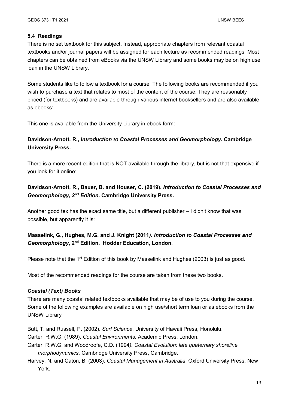#### **5.4 Readings**

There is no set textbook for this subject. Instead, appropriate chapters from relevant coastal textbooks and/or journal papers will be assigned for each lecture as recommended readings Most chapters can be obtained from eBooks via the UNSW Library and some books may be on high use loan in the UNSW Library.

Some students like to follow a textbook for a course. The following books are recommended if you wish to purchase a text that relates to most of the content of the course. They are reasonably priced (for textbooks) and are available through various internet booksellers and are also available as ebooks:

This one is available from the University Library in ebook form:

## **Davidson-Arnott, R.,** *Introduction to Coastal Processes and Geomorphology***. Cambridge University Press.**

There is a more recent edition that is NOT available through the library, but is not that expensive if you look for it online:

### **Davidson-Arnott, R., Bauer, B. and Houser, C. (2019).** *Introduction to Coastal Processes and Geomorphology, 2nd Edition***. Cambridge University Press.**

Another good tex has the exact same title, but a different publisher – I didn't know that was possible, but apparently it is:

### **Masselink, G., Hughes, M.G. and J. Knight (2011***). Introduction to Coastal Processes and Geomorphology***, 2nd Edition. Hodder Education, London**.

Please note that the  $1^{st}$  Edition of this book by Masselink and Hughes (2003) is just as good.

Most of the recommended readings for the course are taken from these two books.

#### *Coastal (Text) Books*

There are many coastal related textbooks available that may be of use to you during the course. Some of the following examples are available on high use/short term loan or as ebooks from the UNSW Library

Butt, T. and Russell, P. (2002). *Surf Science*. University of Hawaii Press, Honolulu.

Carter, R.W.G. (1989). *Coastal Environments*. Academic Press, London.

- Carter, R.W.G. and Woodroofe, C.D. (1994*). Coastal Evolution: late quaternary shoreline morphodynamics*. Cambridge University Press, Cambridge.
- Harvey, N. and Caton, B. (2003). *Coastal Management in Australia*. Oxford University Press, New York.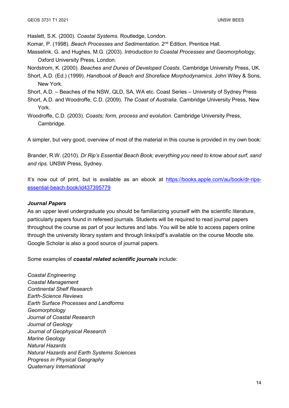Haslett, S.K. (2000). *Coastal Systems*. Routledge, London.

- Komar, P. (1998). *Beach Processes and Sedimentation*. 2nd Edition. Prentice Hall.
- Masselink, G. and Hughes, M.G. (2003). *Introduction to Coastal Processes and Geomorphology*, Oxford University Press, London.
- Nordstrom, K. (2000). *Beaches and Dunes of Developed Coasts*. Cambridge University Press, UK.
- Short, A.D. (Ed.) (1999). *Handbook of Beach and Shoreface Morphodynamics*. John Wiley & Sons, New York.
- Short, A.D. Beaches of the NSW, QLD, SA, WA etc. Coast Series University of Sydney Press
- Short, A.D. and Woodroffe, C.D. (2009). *The Coast of Australia*. Cambridge University Press, New York.
- Woodroffe, C.D. (2003). *Coasts; form, process and evolution*. Cambridge University Press, Cambridge.

A simpler, but very good, overview of most of the material in this course is provided in my own book:

Brander, R.W. (2010). *Dr Rip's Essential Beach Book; everything you need to know about surf, sand and rips*. UNSW Press, Sydney.

It's now out of print, but is available as an ebook at [https://books.apple.com/au/book/dr-rips](https://books.apple.com/au/book/dr-rips-essential-beach-book/id437395779)[essential-beach-book/id437395779](https://books.apple.com/au/book/dr-rips-essential-beach-book/id437395779)

#### *Journal Papers*

As an upper level undergraduate you should be familiarizing yourself with the scientific literature, particularly papers found in refereed journals. Students will be required to read journal papers throughout the course as part of your lectures and labs. You will be able to access papers online through the university library system and through links/pdf's available on the course Moodle site. Google Scholar is also a good source of journal papers.

Some examples of *coastal related scientific journals* include:

*Coastal Engineering Coastal Management Continental Shelf Research Earth-Science Reviews Earth Surface Processes and Landforms Geomorphology Journal of Coastal Research Journal of Geology Journal of Geophysical Research Marine Geology Natural Hazards Natural Hazards and Earth Systems Sciences Progress in Physical Geography Quaternary International*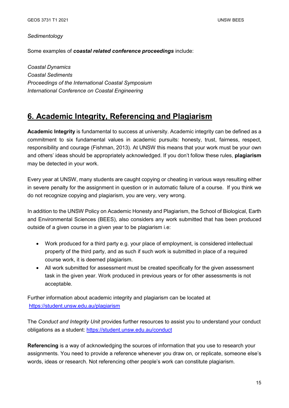#### *Sedimentology*

Some examples of *coastal related conference proceedings* include:

*Coastal Dynamics Coastal Sediments Proceedings of the International Coastal Symposium International Conference on Coastal Engineering*

## **6. Academic Integrity, Referencing and Plagiarism**

**Academic Integrity** is fundamental to success at university. Academic integrity can be defined as a commitment to six fundamental values in academic pursuits: honesty, trust, fairness, respect, responsibility and courage (Fishman, 2013). At UNSW this means that your work must be your own and others' ideas should be appropriately acknowledged. If you don't follow these rules, **plagiarism** may be detected in your work.

Every year at UNSW, many students are caught copying or cheating in various ways resulting either in severe penalty for the assignment in question or in automatic failure of a course. If you think we do not recognize copying and plagiarism, you are very, very wrong.

In addition to the UNSW Policy on Academic Honesty and Plagiarism, the School of Biological, Earth and Environmental Sciences (BEES), also considers any work submitted that has been produced outside of a given course in a given year to be plagiarism i.e:

- Work produced for a third party e.g. your place of employment, is considered intellectual property of the third party, and as such if such work is submitted in place of a required course work, it is deemed plagiarism.
- All work submitted for assessment must be created specifically for the given assessment task in the given year. Work produced in previous years or for other assessments is not acceptable.

Further information about academic integrity and plagiarism can be located at <https://student.unsw.edu.au/plagiarism>

The *Conduct and Integrity Unit* provides further resources to assist you to understand your conduct obligations as a student:<https://student.unsw.edu.au/conduct>

**Referencing** is a way of acknowledging the sources of information that you use to research your assignments. You need to provide a reference whenever you draw on, or replicate, someone else's words, ideas or research. Not referencing other people's work can constitute plagiarism.